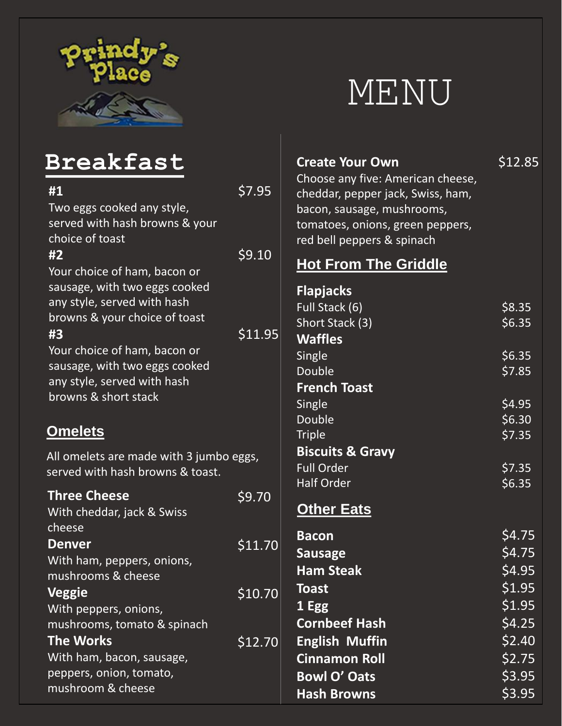

# MENU

| Breakfast                                                                                           |         | <b>Create Your Own</b>                                                                                                                                                 | \$12.85                    |
|-----------------------------------------------------------------------------------------------------|---------|------------------------------------------------------------------------------------------------------------------------------------------------------------------------|----------------------------|
| #1<br>Two eggs cooked any style,<br>served with hash browns & your<br>choice of toast               | \$7.95  | Choose any five: American cheese,<br>cheddar, pepper jack, Swiss, ham,<br>bacon, sausage, mushrooms,<br>tomatoes, onions, green peppers,<br>red bell peppers & spinach |                            |
| #2<br>Your choice of ham, bacon or                                                                  | \$9.10  | <b>Hot From The Griddle</b>                                                                                                                                            |                            |
| sausage, with two eggs cooked<br>any style, served with hash<br>browns & your choice of toast<br>#3 | \$11.95 | <b>Flapjacks</b><br>Full Stack (6)<br>Short Stack (3)<br><b>Waffles</b>                                                                                                | \$8.35<br>\$6.35           |
| Your choice of ham, bacon or<br>sausage, with two eggs cooked<br>any style, served with hash        |         | Single<br>Double<br><b>French Toast</b>                                                                                                                                | \$6.35<br>\$7.85           |
| browns & short stack<br><b>Omelets</b>                                                              |         | Single<br>Double                                                                                                                                                       | \$4.95<br>\$6.30           |
|                                                                                                     |         | <b>Triple</b>                                                                                                                                                          | \$7.35                     |
| All omelets are made with 3 jumbo eggs,<br>served with hash browns & toast.                         |         | <b>Biscuits &amp; Gravy</b><br><b>Full Order</b><br><b>Half Order</b>                                                                                                  | \$7.35<br>\$6.35           |
| <b>Three Cheese</b><br>With cheddar, jack & Swiss                                                   | \$9.70  | <b>Other Eats</b>                                                                                                                                                      |                            |
| cheese<br><b>Denver</b><br>With ham, peppers, onions,<br>mushrooms & cheese                         | \$11.70 | <b>Bacon</b><br><b>Sausage</b><br><b>Ham Steak</b>                                                                                                                     | \$4.75<br>\$4.75<br>\$4.95 |
| <b>Veggie</b><br>With peppers, onions,<br>mushrooms, tomato & spinach                               | \$10.70 | <b>Toast</b><br>1 Egg<br><b>Cornbeef Hash</b>                                                                                                                          | \$1.95<br>\$1.95<br>\$4.25 |
| <b>The Works</b><br>With ham, bacon, sausage,                                                       | \$12.70 | <b>English Muffin</b><br><b>Cinnamon Roll</b>                                                                                                                          | \$2.40<br>\$2.75           |
| peppers, onion, tomato,<br>mushroom & cheese                                                        |         | <b>Bowl O' Oats</b><br><b>Hash Browns</b>                                                                                                                              | \$3.95<br>\$3.95           |